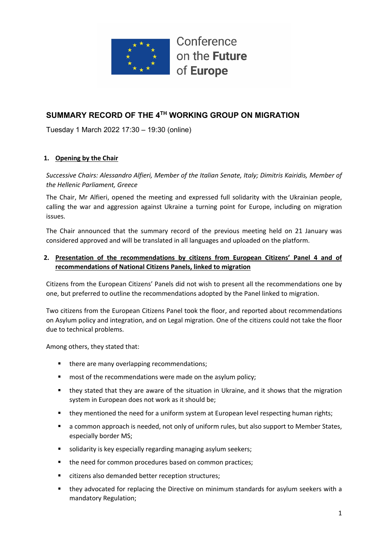

## **SUMMARY RECORD OF THE 4TH WORKING GROUP ON MIGRATION**

Tuesday 1 March 2022 17:30 – 19:30 (online)

## **1. Opening by the Chair**

*Successive Chairs: Alessandro Alfieri, Member of the Italian Senate, Italy; Dimitris Kairidis, Member of the Hellenic Parliament, Greece*

The Chair, Mr Alfieri, opened the meeting and expressed full solidarity with the Ukrainian people, calling the war and aggression against Ukraine a turning point for Europe, including on migration issues.

The Chair announced that the summary record of the previous meeting held on 21 January was considered approved and will be translated in all languages and uploaded on the platform.

## **2. Presentation of the recommendations by citizens from European Citizens' Panel 4 and of recommendations of National Citizens Panels, linked to migration**

Citizens from the European Citizens' Panels did not wish to present all the recommendations one by one, but preferred to outline the recommendations adopted by the Panel linked to migration.

Two citizens from the European Citizens Panel took the floor, and reported about recommendations on Asylum policy and integration, and on Legal migration. One of the citizens could not take the floor due to technical problems.

Among others, they stated that:

- there are many overlapping recommendations;
- most of the recommendations were made on the asylum policy;
- they stated that they are aware of the situation in Ukraine, and it shows that the migration system in European does not work as it should be;
- **■** they mentioned the need for a uniform system at European level respecting human rights;
- a common approach is needed, not only of uniform rules, but also support to Member States, especially border MS;
- solidarity is key especially regarding managing asylum seekers;
- the need for common procedures based on common practices;
- citizens also demanded better reception structures;
- they advocated for replacing the Directive on minimum standards for asylum seekers with a mandatory Regulation;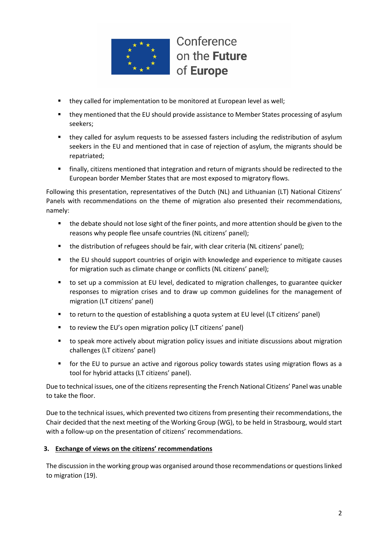

- they called for implementation to be monitored at European level as well;
- they mentioned that the EU should provide assistance to Member States processing of asylum seekers;
- they called for asylum requests to be assessed fasters including the redistribution of asylum seekers in the EU and mentioned that in case of rejection of asylum, the migrants should be repatriated;
- finally, citizens mentioned that integration and return of migrants should be redirected to the European border Member States that are most exposed to migratory flows.

Following this presentation, representatives of the Dutch (NL) and Lithuanian (LT) National Citizens' Panels with recommendations on the theme of migration also presented their recommendations, namely:

- the debate should not lose sight of the finer points, and more attention should be given to the reasons why people flee unsafe countries (NL citizens' panel);
- the distribution of refugees should be fair, with clear criteria (NL citizens' panel);
- the EU should support countries of origin with knowledge and experience to mitigate causes for migration such as climate change or conflicts (NL citizens' panel);
- to set up a commission at EU level, dedicated to migration challenges, to guarantee quicker responses to migration crises and to draw up common guidelines for the management of migration (LT citizens' panel)
- to return to the question of establishing a quota system at EU level (LT citizens' panel)
- to review the EU's open migration policy (LT citizens' panel)
- to speak more actively about migration policy issues and initiate discussions about migration challenges (LT citizens' panel)
- for the EU to pursue an active and rigorous policy towards states using migration flows as a tool for hybrid attacks (LT citizens' panel).

Due to technical issues, one of the citizens representing the French National Citizens' Panel was unable to take the floor.

Due to the technical issues, which prevented two citizens from presenting their recommendations, the Chair decided that the next meeting of the Working Group (WG), to be held in Strasbourg, would start with a follow-up on the presentation of citizens' recommendations.

#### **3. Exchange of views on the citizens' recommendations**

The discussion in the working group was organised around those recommendations or questions linked to migration (19).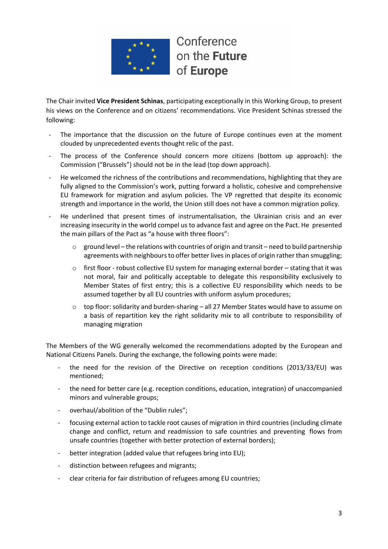

The Chair invited **Vice President Schinas**, participating exceptionally in this Working Group, to present his views on the Conference and on citizens' recommendations. Vice President Schinas stressed the following:

- The importance that the discussion on the future of Europe continues even at the moment clouded by unprecedented events thought relic of the past.
- The process of the Conference should concern more citizens (bottom up approach): the Commission ("Brussels") should not be in the lead (top down approach).
- He welcomed the richness of the contributions and recommendations, highlighting that they are fully aligned to the Commission's work, putting forward a holistic, cohesive and comprehensive EU framework for migration and asylum policies. The VP regretted that despite its economic strength and importance in the world, the Union still does not have a common migration policy.
- He underlined that present times of instrumentalisation, the Ukrainian crisis and an ever increasing insecurity in the world compel us to advance fast and agree on the Pact. He presented the main pillars of the Pact as "a house with three floors":
	- $\circ$  ground level the relations with countries of origin and transit need to build partnership agreements with neighbours to offer better lives in places of origin rather than smuggling;
	- $\circ$  first floor robust collective EU system for managing external border stating that it was not moral, fair and politically acceptable to delegate this responsibility exclusively to Member States of first entry; this is a collective EU responsibility which needs to be assumed together by all EU countries with uniform asylum procedures;
	- o top floor: solidarity and burden-sharing all 27 Member States would have to assume on a basis of repartition key the right solidarity mix to all contribute to responsibility of managing migration

The Members of the WG generally welcomed the recommendations adopted by the European and National Citizens Panels. During the exchange, the following points were made:

- the need for the revision of the Directive on reception conditions (2013/33/EU) was mentioned;
- the need for better care (e.g. reception conditions, education, integration) of unaccompanied minors and vulnerable groups;
- overhaul/abolition of the "Dublin rules";
- focusing external action to tackle root causes of migration in third countries (including climate change and conflict, return and readmission to safe countries and preventing flows from unsafe countries (together with better protection of external borders);
- better integration (added value that refugees bring into EU);
- distinction between refugees and migrants;
- clear criteria for fair distribution of refugees among EU countries;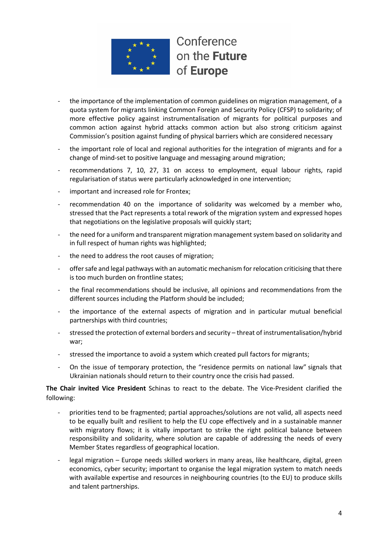

- the importance of the implementation of common guidelines on migration management, of a quota system for migrants linking Common Foreign and Security Policy (CFSP) to solidarity; of more effective policy against instrumentalisation of migrants for political purposes and common action against hybrid attacks common action but also strong criticism against Commission's position against funding of physical barriers which are considered necessary
- the important role of local and regional authorities for the integration of migrants and for a change of mind-set to positive language and messaging around migration;
- recommendations 7, 10, 27, 31 on access to employment, equal labour rights, rapid regularisation of status were particularly acknowledged in one intervention;
- important and increased role for Frontex;
- recommendation 40 on the importance of solidarity was welcomed by a member who, stressed that the Pact represents a total rework of the migration system and expressed hopes that negotiations on the legislative proposals will quickly start;
- the need for a uniform and transparent migration management system based on solidarity and in full respect of human rights was highlighted;
- the need to address the root causes of migration:
- offer safe and legal pathways with an automatic mechanism for relocation criticising that there is too much burden on frontline states;
- the final recommendations should be inclusive, all opinions and recommendations from the different sources including the Platform should be included;
- the importance of the external aspects of migration and in particular mutual beneficial partnerships with third countries;
- stressed the protection of external borders and security threat of instrumentalisation/hybrid war;
- stressed the importance to avoid a system which created pull factors for migrants;
- On the issue of temporary protection, the "residence permits on national law" signals that Ukrainian nationals should return to their country once the crisis had passed.

**The Chair invited Vice President** Schinas to react to the debate. The Vice-President clarified the following:

- priorities tend to be fragmented; partial approaches/solutions are not valid, all aspects need to be equally built and resilient to help the EU cope effectively and in a sustainable manner with migratory flows; it is vitally important to strike the right political balance between responsibility and solidarity, where solution are capable of addressing the needs of every Member States regardless of geographical location.
- legal migration Europe needs skilled workers in many areas, like healthcare, digital, green economics, cyber security; important to organise the legal migration system to match needs with available expertise and resources in neighbouring countries (to the EU) to produce skills and talent partnerships.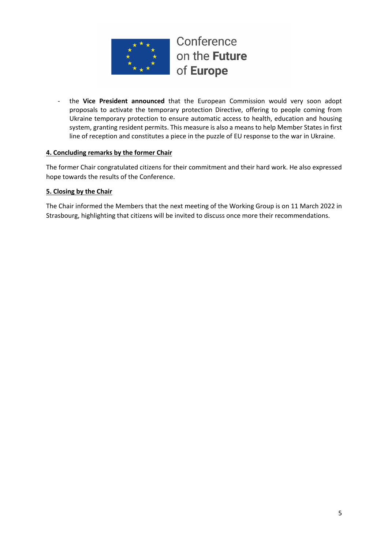

the Vice President announced that the European Commission would very soon adopt proposals to activate the temporary protection Directive, offering to people coming from Ukraine temporary protection to ensure automatic access to health, education and housing system, granting resident permits. This measure is also a means to help Member States in first line of reception and constitutes a piece in the puzzle of EU response to the war in Ukraine.

## **4. Concluding remarks by the former Chair**

The former Chair congratulated citizens for their commitment and their hard work. He also expressed hope towards the results of the Conference.

## **5. Closing by the Chair**

The Chair informed the Members that the next meeting of the Working Group is on 11 March 2022 in Strasbourg, highlighting that citizens will be invited to discuss once more their recommendations.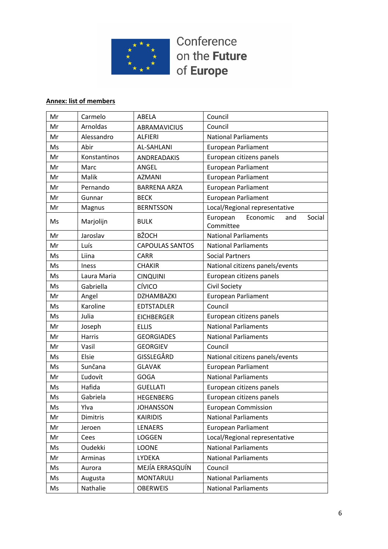

# **Annex: list of members**

| Mr | Carmelo      | <b>ABELA</b>           | Council                                            |
|----|--------------|------------------------|----------------------------------------------------|
| Mr | Arnoldas     | <b>ABRAMAVICIUS</b>    | Council                                            |
| Mr | Alessandro   | <b>ALFIERI</b>         | <b>National Parliaments</b>                        |
| Ms | Abir         | <b>AL-SAHLANI</b>      | <b>European Parliament</b>                         |
| Mr | Konstantinos | ANDREADAKIS            | European citizens panels                           |
| Mr | Marc         | ANGEL                  | <b>European Parliament</b>                         |
| Mr | Malik        | <b>AZMANI</b>          | <b>European Parliament</b>                         |
| Mr | Pernando     | <b>BARRENA ARZA</b>    | <b>European Parliament</b>                         |
| Mr | Gunnar       | <b>BECK</b>            | <b>European Parliament</b>                         |
| Mr | Magnus       | <b>BERNTSSON</b>       | Local/Regional representative                      |
| Ms | Marjolijn    | <b>BULK</b>            | European<br>Economic<br>Social<br>and<br>Committee |
| Mr | Jaroslav     | <b>BŽOCH</b>           | <b>National Parliaments</b>                        |
| Mr | Luís         | <b>CAPOULAS SANTOS</b> | <b>National Parliaments</b>                        |
| Ms | Liina        | <b>CARR</b>            | <b>Social Partners</b>                             |
| Ms | <b>Iness</b> | <b>CHAKIR</b>          | National citizens panels/events                    |
| Ms | Laura Maria  | <b>CINQUINI</b>        | European citizens panels                           |
| Ms | Gabriella    | CÍVICO                 | Civil Society                                      |
| Mr | Angel        | <b>DZHAMBAZKI</b>      | <b>European Parliament</b>                         |
| Ms | Karoline     | <b>EDTSTADLER</b>      | Council                                            |
| Ms | Julia        | <b>EICHBERGER</b>      | European citizens panels                           |
| Mr | Joseph       | <b>ELLIS</b>           | <b>National Parliaments</b>                        |
| Mr | Harris       | <b>GEORGIADES</b>      | <b>National Parliaments</b>                        |
| Mr | Vasil        | <b>GEORGIEV</b>        | Council                                            |
| Ms | Elsie        | GISSLEGÅRD             | National citizens panels/events                    |
| Ms | Sunčana      | <b>GLAVAK</b>          | <b>European Parliament</b>                         |
| Mr | Ľudovít      | <b>GOGA</b>            | <b>National Parliaments</b>                        |
| Ms | Hafida       | <b>GUELLATI</b>        | European citizens panels                           |
| Ms | Gabriela     | <b>HEGENBERG</b>       | European citizens panels                           |
| Ms | Ylva         | <b>JOHANSSON</b>       | <b>European Commission</b>                         |
| Mr | Dimitris     | <b>KAIRIDIS</b>        | <b>National Parliaments</b>                        |
| Mr | Jeroen       | <b>LENAERS</b>         | <b>European Parliament</b>                         |
| Mr | Cees         | LOGGEN                 | Local/Regional representative                      |
| Ms | Oudekki      | LOONE                  | <b>National Parliaments</b>                        |
| Mr | Arminas      | LYDEKA                 | <b>National Parliaments</b>                        |
| Ms | Aurora       | MEJÍA ERRASQUÍN        | Council                                            |
| Ms | Augusta      | <b>MONTARULI</b>       | <b>National Parliaments</b>                        |
| Ms | Nathalie     | <b>OBERWEIS</b>        | <b>National Parliaments</b>                        |